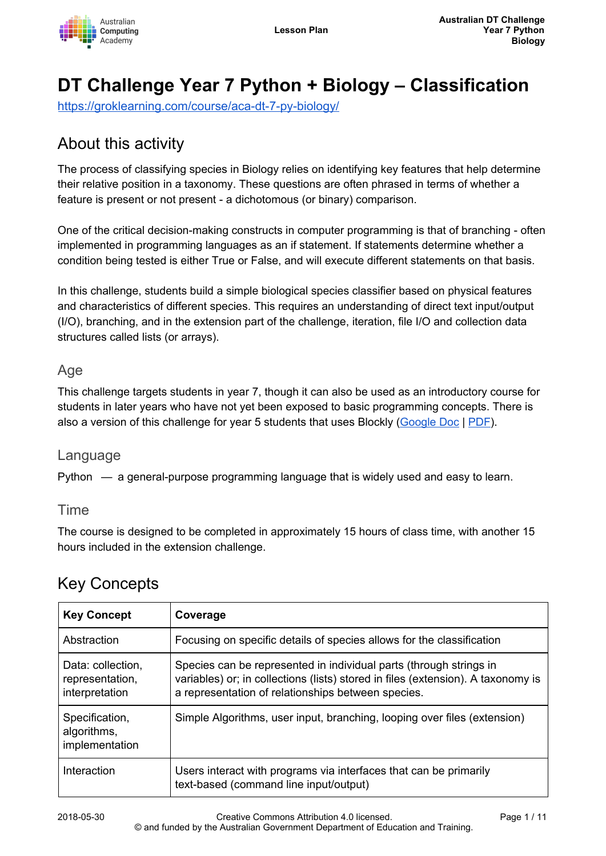

# **DT Challenge Year 7 Python + Biology – Classification**

<https://groklearning.com/course/aca-dt-7-py-biology/>

### About this activity

The process of classifying species in Biology relies on identifying key features that help determine their relative position in a taxonomy. These questions are often phrased in terms of whether a feature is present or not present - a dichotomous (or binary) comparison.

One of the critical decision-making constructs in computer programming is that of branching - often implemented in programming languages as an if statement. If statements determine whether a condition being tested is either True or False, and will execute different statements on that basis.

In this challenge, students build a simple biological species classifier based on physical features and characteristics of different species. This requires an understanding of direct text input/output (I/O), branching, and in the extension part of the challenge, iteration, file I/O and collection data structures called lists (or arrays).

#### Age

This challenge targets students in year 7, though it can also be used as an introductory course for students in later years who have not yet been exposed to basic programming concepts. There is also a version of this challenge for year 5 students that uses Blockly [\(Google](https://docs.google.com/document/d/1gEDDMneiyehv-fcQIbE2QT5cPFV5e-30xMNk3iFYe9I/copy) Doc | [PDF\)](https://aca.edu.au/public/lessons/aca-dt-5-bk-biology-lesson-plan.pdf).

#### Language

Python — a general-purpose programming language that is widely used and easy to learn.

#### Time

The course is designed to be completed in approximately 15 hours of class time, with another 15 hours included in the extension challenge.

### Key Concepts

| <b>Key Concept</b>                                     | Coverage                                                                                                                                                                                                     |  |  |
|--------------------------------------------------------|--------------------------------------------------------------------------------------------------------------------------------------------------------------------------------------------------------------|--|--|
| Abstraction                                            | Focusing on specific details of species allows for the classification                                                                                                                                        |  |  |
| Data: collection,<br>representation,<br>interpretation | Species can be represented in individual parts (through strings in<br>variables) or; in collections (lists) stored in files (extension). A taxonomy is<br>a representation of relationships between species. |  |  |
| Specification,<br>algorithms,<br>implementation        | Simple Algorithms, user input, branching, looping over files (extension)                                                                                                                                     |  |  |
| Interaction                                            | Users interact with programs via interfaces that can be primarily<br>text-based (command line input/output)                                                                                                  |  |  |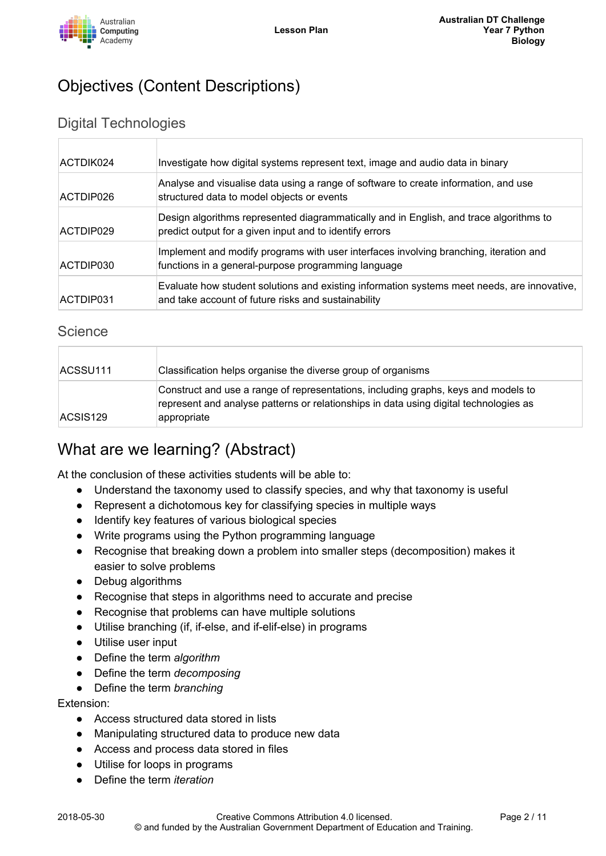

# Objectives (Content Descriptions)

### Digital Technologies

| ACTDIK024 | Investigate how digital systems represent text, image and audio data in binary                                                                     |
|-----------|----------------------------------------------------------------------------------------------------------------------------------------------------|
| ACTDIP026 | Analyse and visualise data using a range of software to create information, and use<br>structured data to model objects or events                  |
| ACTDIP029 | Design algorithms represented diagrammatically and in English, and trace algorithms to<br>predict output for a given input and to identify errors  |
| ACTDIP030 | Implement and modify programs with user interfaces involving branching, iteration and<br>functions in a general-purpose programming language       |
| ACTDIP031 | Evaluate how student solutions and existing information systems meet needs, are innovative,<br>and take account of future risks and sustainability |

#### **Science**

| ACSSU111 | Classification helps organise the diverse group of organisms                                                                                                                               |
|----------|--------------------------------------------------------------------------------------------------------------------------------------------------------------------------------------------|
| ACSIS129 | Construct and use a range of representations, including graphs, keys and models to<br>represent and analyse patterns or relationships in data using digital technologies as<br>appropriate |

### What are we learning? (Abstract)

At the conclusion of these activities students will be able to:

- Understand the taxonomy used to classify species, and why that taxonomy is useful
- Represent a dichotomous key for classifying species in multiple ways
- Identify key features of various biological species
- Write programs using the Python programming language
- Recognise that breaking down a problem into smaller steps (decomposition) makes it easier to solve problems
- Debug algorithms
- Recognise that steps in algorithms need to accurate and precise
- Recognise that problems can have multiple solutions
- Utilise branching (if, if-else, and if-elif-else) in programs
- Utilise user input
- Define the term *algorithm*
- Define the term *decomposing*
- Define the term *branching*

#### Extension:

- Access structured data stored in lists
- Manipulating structured data to produce new data
- Access and process data stored in files
- Utilise for loops in programs
- Define the term *iteration*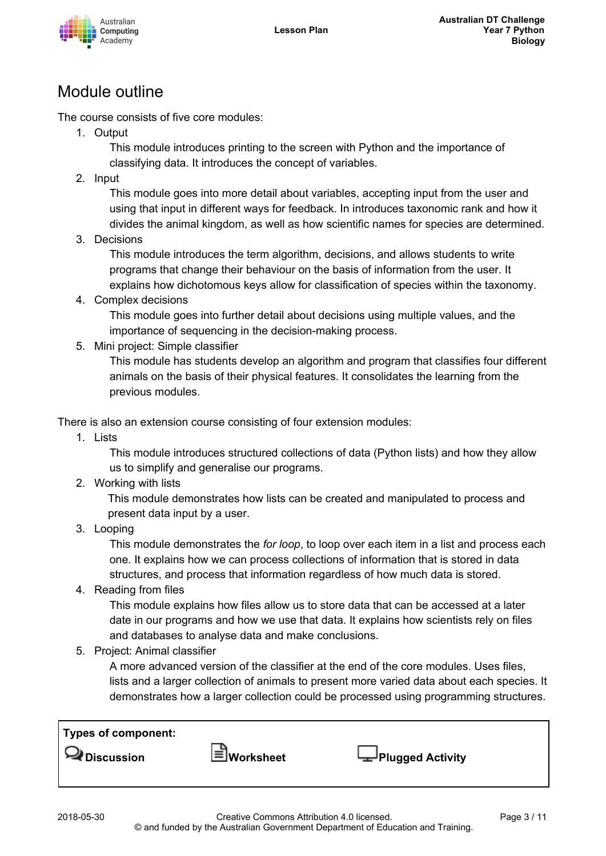

### Module outline

The course consists of five core modules:

1. Output

This module introduces printing to the screen with Python and the importance of classifying data. It introduces the concept of variables.

2. Input

This module goes into more detail about variables, accepting input from the user and using that input in different ways for feedback. In introduces taxonomic rank and how it divides the animal kingdom, as well as how scientific names for species are determined.

3. Decisions

This module introduces the term algorithm, decisions, and allows students to write programs that change their behaviour on the basis of information from the user. It explains how dichotomous keys allow for classification of species within the taxonomy.

4. Complex decisions

This module goes into further detail about decisions using multiple values, and the importance of sequencing in the decision-making process.

5. Mini project: Simple classifier

This module has students develop an algorithm and program that classifies four different animals on the basis of their physical features. It consolidates the learning from the previous modules.

There is also an extension course consisting of four extension modules:

1. Lists

This module introduces structured collections of data (Python lists) and how they allow us to simplify and generalise our programs.

2. Working with lists

This module demonstrates how lists can be created and manipulated to process and present data input by a user.

3. Looping

This module demonstrates the *for loop*, to loop over each item in a list and process each one. It explains how we can process collections of information that is stored in data structures, and process that information regardless of how much data is stored.

4. Reading from files

This module explains how files allow us to store data that can be accessed at a later date in our programs and how we use that data. It explains how scientists rely on files and databases to analyse data and make conclusions.

5. Project: Animal classifier

A more advanced version of the classifier at the end of the core modules. Uses files, lists and a larger collection of animals to present more varied data about each species. It demonstrates how a larger collection could be processed using programming structures.

| Types of component:<br>$\mathbf{\mathcal{Q}}$ Discussion | <b>E</b> Worksheet | Plugged Activity |  |
|----------------------------------------------------------|--------------------|------------------|--|
|                                                          |                    |                  |  |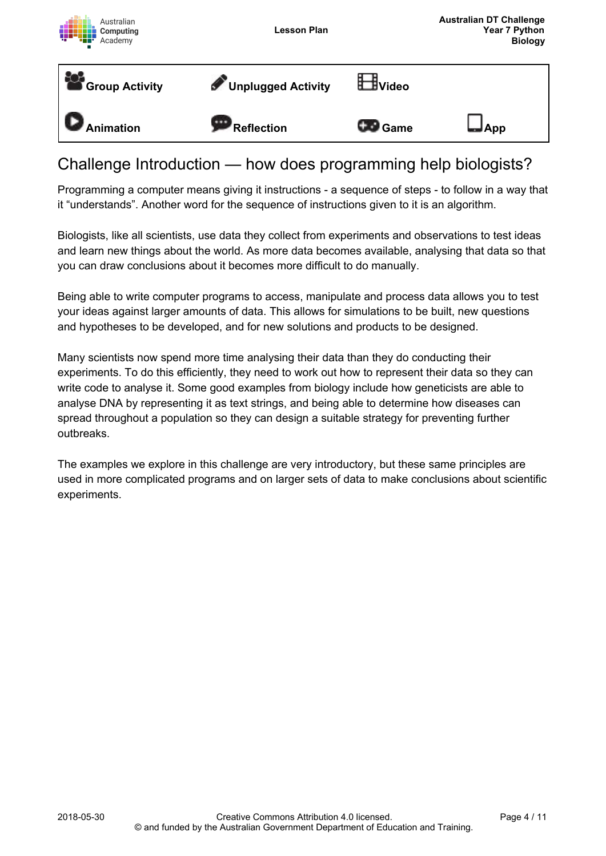

### Challenge Introduction — how does programming help biologists?

Programming a computer means giving it instructions - a sequence of steps - to follow in a way that it "understands". Another word for the sequence of instructions given to it is an algorithm.

Biologists, like all scientists, use data they collect from experiments and observations to test ideas and learn new things about the world. As more data becomes available, analysing that data so that you can draw conclusions about it becomes more difficult to do manually.

Being able to write computer programs to access, manipulate and process data allows you to test your ideas against larger amounts of data. This allows for simulations to be built, new questions and hypotheses to be developed, and for new solutions and products to be designed.

Many scientists now spend more time analysing their data than they do conducting their experiments. To do this efficiently, they need to work out how to represent their data so they can write code to analyse it. Some good examples from biology include how geneticists are able to analyse DNA by representing it as text strings, and being able to determine how diseases can spread throughout a population so they can design a suitable strategy for preventing further outbreaks.

The examples we explore in this challenge are very introductory, but these same principles are used in more complicated programs and on larger sets of data to make conclusions about scientific experiments.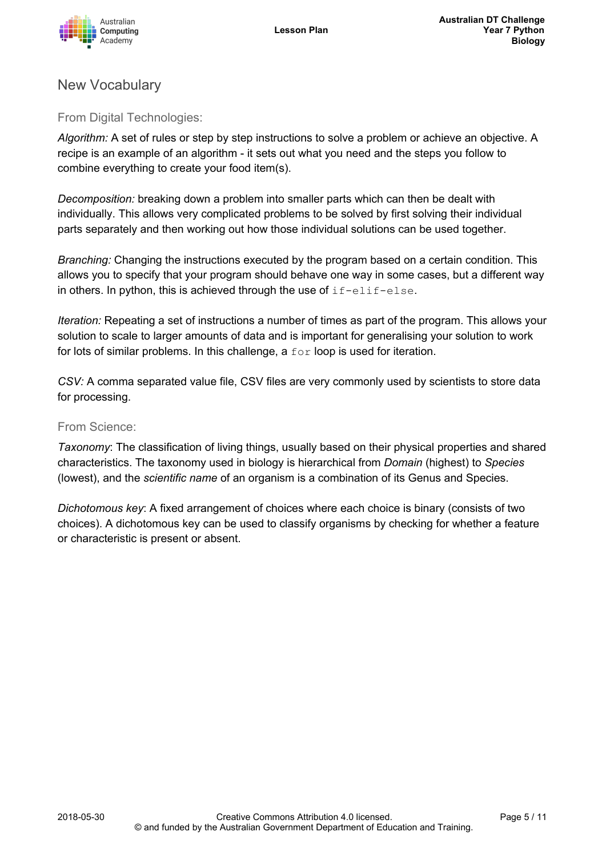

### New Vocabulary

#### From Digital Technologies:

*Algorithm:* A set of rules or step by step instructions to solve a problem or achieve an objective. A recipe is an example of an algorithm - it sets out what you need and the steps you follow to combine everything to create your food item(s).

*Decomposition:* breaking down a problem into smaller parts which can then be dealt with individually. This allows very complicated problems to be solved by first solving their individual parts separately and then working out how those individual solutions can be used together.

*Branching:* Changing the instructions executed by the program based on a certain condition. This allows you to specify that your program should behave one way in some cases, but a different way in others. In python, this is achieved through the use of  $if$ -elif-else.

*Iteration:* Repeating a set of instructions a number of times as part of the program. This allows your solution to scale to larger amounts of data and is important for generalising your solution to work for lots of similar problems. In this challenge, a for loop is used for iteration.

*CSV:* A comma separated value file, CSV files are very commonly used by scientists to store data for processing.

#### From Science:

*Taxonomy*: The classification of living things, usually based on their physical properties and shared characteristics. The taxonomy used in biology is hierarchical from *Domain* (highest) to *Species* (lowest), and the *scientific name* of an organism is a combination of its Genus and Species.

*Dichotomous key*: A fixed arrangement of choices where each choice is binary (consists of two choices). A dichotomous key can be used to classify organisms by checking for whether a feature or characteristic is present or absent.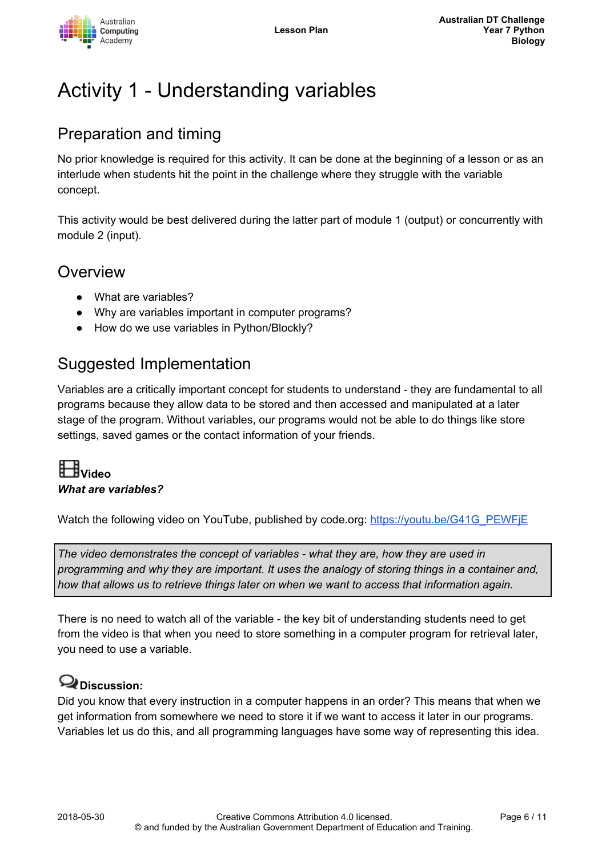# Activity 1 - Understanding variables

# Preparation and timing

No prior knowledge is required for this activity. It can be done at the beginning of a lesson or as an interlude when students hit the point in the challenge where they struggle with the variable concept.

This activity would be best delivered during the latter part of module 1 (output) or concurrently with module 2 (input).

### **Overview**

- What are variables?
- Why are variables important in computer programs?
- How do we use variables in Python/Blockly?

# Suggested Implementation

Variables are a critically important concept for students to understand - they are fundamental to all programs because they allow data to be stored and then accessed and manipulated at a later stage of the program. Without variables, our programs would not be able to do things like store settings, saved games or the contact information of your friends.

### **Video** *What are variables?*

Watch the following video on YouTube, published by code.org: [https://youtu.be/G41G\\_PEWFjE](https://youtu.be/G41G_PEWFjE)

*The video demonstrates the concept of variables - what they are, how they are used in programming and why they are important. It uses the analogy of storing things in a container and, how that allows us to retrieve things later on when we want to access that information again.*

There is no need to watch all of the variable - the key bit of understanding students need to get from the video is that when you need to store something in a computer program for retrieval later, you need to use a variable.

### **Discussion:**

Did you know that every instruction in a computer happens in an order? This means that when we get information from somewhere we need to store it if we want to access it later in our programs. Variables let us do this, and all programming languages have some way of representing this idea.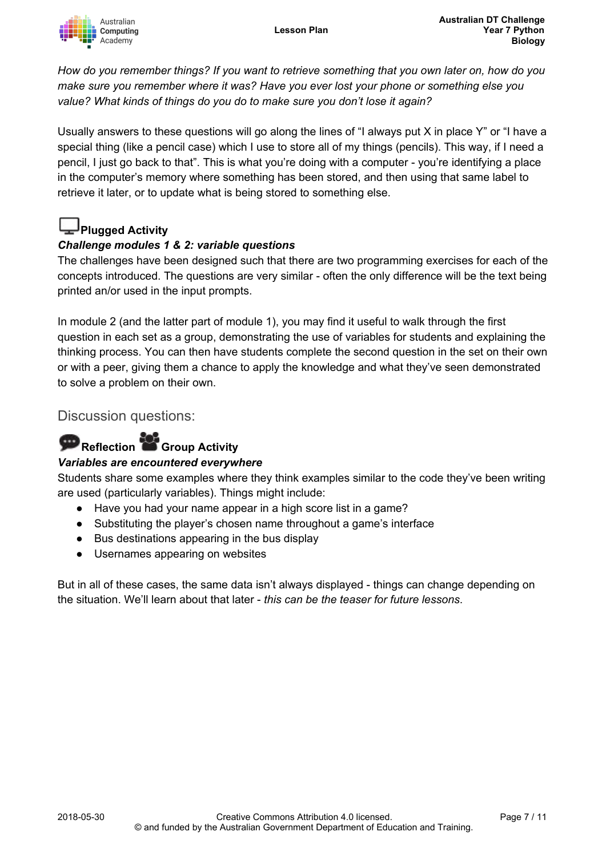

How do you remember things? If you want to retrieve something that you own later on, how do you *make sure you remember where it was? Have you ever lost your phone or something else you value? What kinds of things do you do to make sure you don't lose it again?*

Usually answers to these questions will go along the lines of "I always put X in place Y" or "I have a special thing (like a pencil case) which I use to store all of my things (pencils). This way, if I need a pencil, I just go back to that". This is what you're doing with a computer - you're identifying a place in the computer's memory where something has been stored, and then using that same label to retrieve it later, or to update what is being stored to something else.

### **Plugged Activity**

#### *Challenge modules 1 & 2: variable questions*

The challenges have been designed such that there are two programming exercises for each of the concepts introduced. The questions are very similar - often the only difference will be the text being printed an/or used in the input prompts.

In module 2 (and the latter part of module 1), you may find it useful to walk through the first question in each set as a group, demonstrating the use of variables for students and explaining the thinking process. You can then have students complete the second question in the set on their own or with a peer, giving them a chance to apply the knowledge and what they've seen demonstrated to solve a problem on their own.

#### Discussion questions:

## **Reflection Group Activity**

#### *Variables are encountered everywhere*

Students share some examples where they think examples similar to the code they've been writing are used (particularly variables). Things might include:

- Have you had your name appear in a high score list in a game?
- Substituting the player's chosen name throughout a game's interface
- Bus destinations appearing in the bus display
- Usernames appearing on websites

But in all of these cases, the same data isn't always displayed - things can change depending on the situation. We'll learn about that later - *this can be the teaser for future lessons*.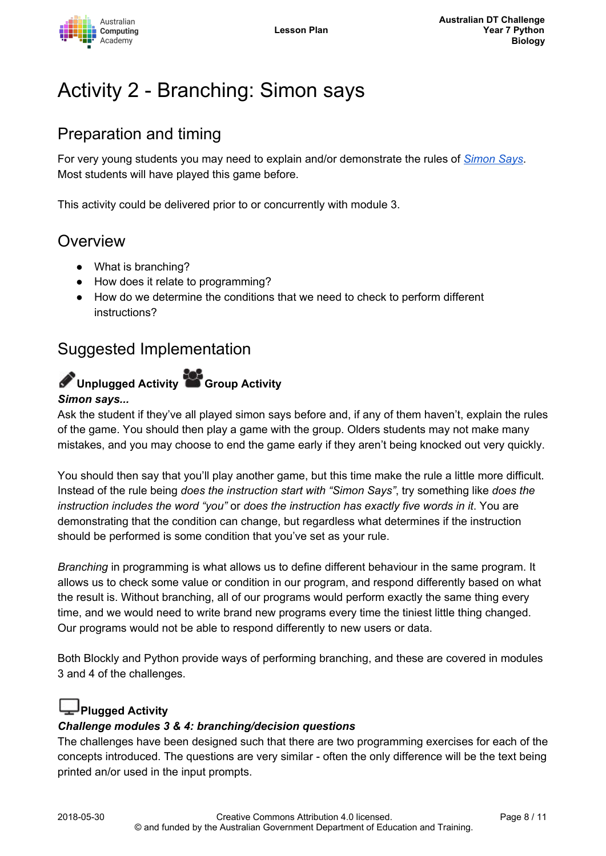# Activity 2 - Branching: Simon says

# Preparation and timing

For very young students you may need to explain and/or demonstrate the rules of *[Simon](https://en.wikipedia.org/wiki/Simon_Says) Says*. Most students will have played this game before.

This activity could be delivered prior to or concurrently with module 3.

### **Overview**

- What is branching?
- How does it relate to programming?
- How do we determine the conditions that we need to check to perform different instructions?

### Suggested Implementation

# **Unplugged Activity Group Activity**

#### *Simon says...*

Ask the student if they've all played simon says before and, if any of them haven't, explain the rules of the game. You should then play a game with the group. Olders students may not make many mistakes, and you may choose to end the game early if they aren't being knocked out very quickly.

You should then say that you'll play another game, but this time make the rule a little more difficult. Instead of the rule being *does the instruction start with "Simon Says"*, try something like *does the instruction includes the word "you"* or *does the instruction has exactly five words in it*. You are demonstrating that the condition can change, but regardless what determines if the instruction should be performed is some condition that you've set as your rule.

*Branching* in programming is what allows us to define different behaviour in the same program. It allows us to check some value or condition in our program, and respond differently based on what the result is. Without branching, all of our programs would perform exactly the same thing every time, and we would need to write brand new programs every time the tiniest little thing changed. Our programs would not be able to respond differently to new users or data.

Both Blockly and Python provide ways of performing branching, and these are covered in modules 3 and 4 of the challenges.

### **Plugged Activity**

#### *Challenge modules 3 & 4: branching/decision questions*

The challenges have been designed such that there are two programming exercises for each of the concepts introduced. The questions are very similar - often the only difference will be the text being printed an/or used in the input prompts.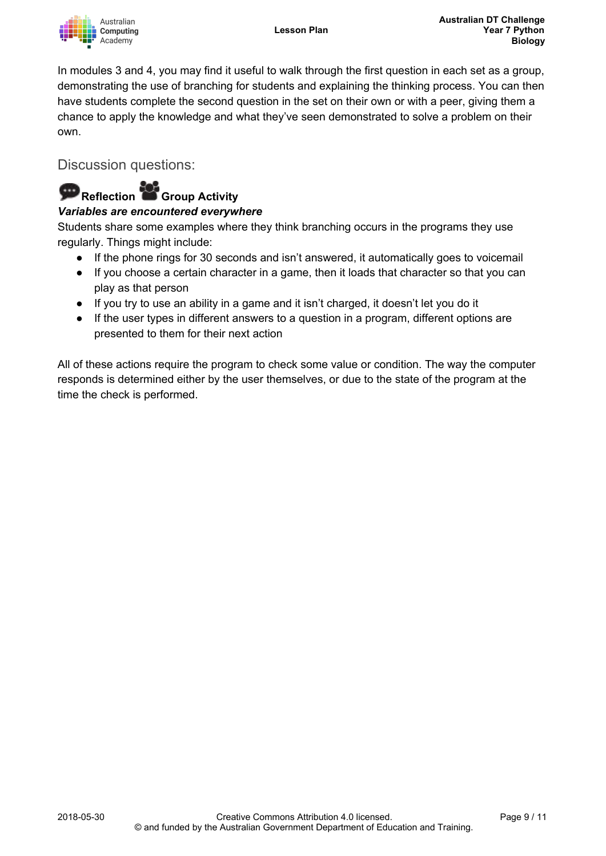

In modules 3 and 4, you may find it useful to walk through the first question in each set as a group, demonstrating the use of branching for students and explaining the thinking process. You can then have students complete the second question in the set on their own or with a peer, giving them a chance to apply the knowledge and what they've seen demonstrated to solve a problem on their own.

Discussion questions:

# **Reflection Group Activity**

#### *Variables are encountered everywhere*

Students share some examples where they think branching occurs in the programs they use regularly. Things might include:

- If the phone rings for 30 seconds and isn't answered, it automatically goes to voicemail
- If you choose a certain character in a game, then it loads that character so that you can play as that person
- If you try to use an ability in a game and it isn't charged, it doesn't let you do it
- If the user types in different answers to a question in a program, different options are presented to them for their next action

All of these actions require the program to check some value or condition. The way the computer responds is determined either by the user themselves, or due to the state of the program at the time the check is performed.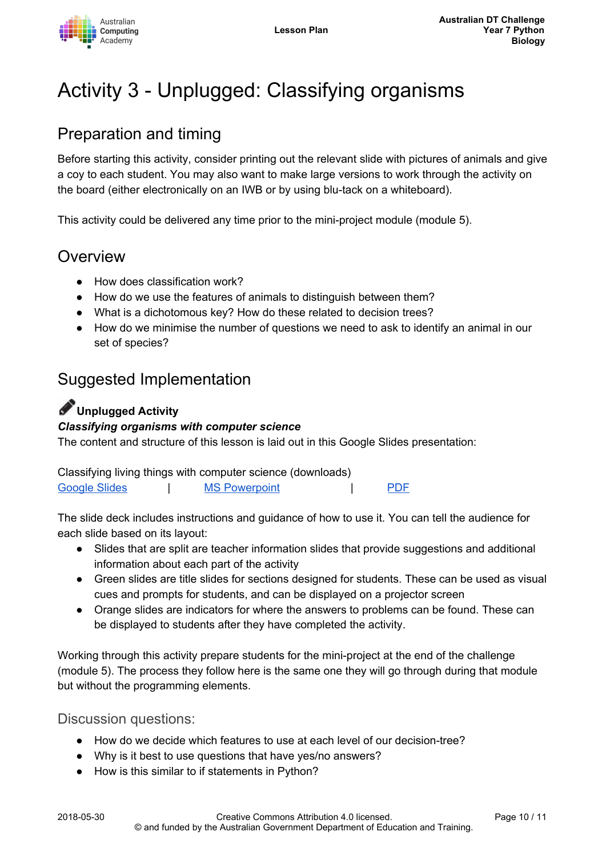# Activity 3 - Unplugged: Classifying organisms

## Preparation and timing

Australian **Computing** Academy

Before starting this activity, consider printing out the relevant slide with pictures of animals and give a coy to each student. You may also want to make large versions to work through the activity on the board (either electronically on an IWB or by using blu-tack on a whiteboard).

This activity could be delivered any time prior to the mini-project module (module 5).

### **Overview**

- How does classification work?
- How do we use the features of animals to distinguish between them?
- What is a dichotomous key? How do these related to decision trees?
- How do we minimise the number of questions we need to ask to identify an animal in our set of species?

## Suggested Implementation

### **Unplugged Activity**

#### *Classifying organisms with computer science*

The content and structure of this lesson is laid out in this Google Slides presentation:

| Classifying living things with computer science (downloads) |  |                      |  |            |  |  |  |  |
|-------------------------------------------------------------|--|----------------------|--|------------|--|--|--|--|
| <b>Google Slides</b>                                        |  | <b>MS Powerpoint</b> |  | <b>PDF</b> |  |  |  |  |

The slide deck includes instructions and guidance of how to use it. You can tell the audience for each slide based on its layout:

- Slides that are split are teacher information slides that provide suggestions and additional information about each part of the activity
- Green slides are title slides for sections designed for students. These can be used as visual cues and prompts for students, and can be displayed on a projector screen
- Orange slides are indicators for where the answers to problems can be found. These can be displayed to students after they have completed the activity.

Working through this activity prepare students for the mini-project at the end of the challenge (module 5). The process they follow here is the same one they will go through during that module but without the programming elements.

Discussion questions:

- How do we decide which features to use at each level of our decision-tree?
- Why is it best to use questions that have yes/no answers?
- How is this similar to if statements in Python?